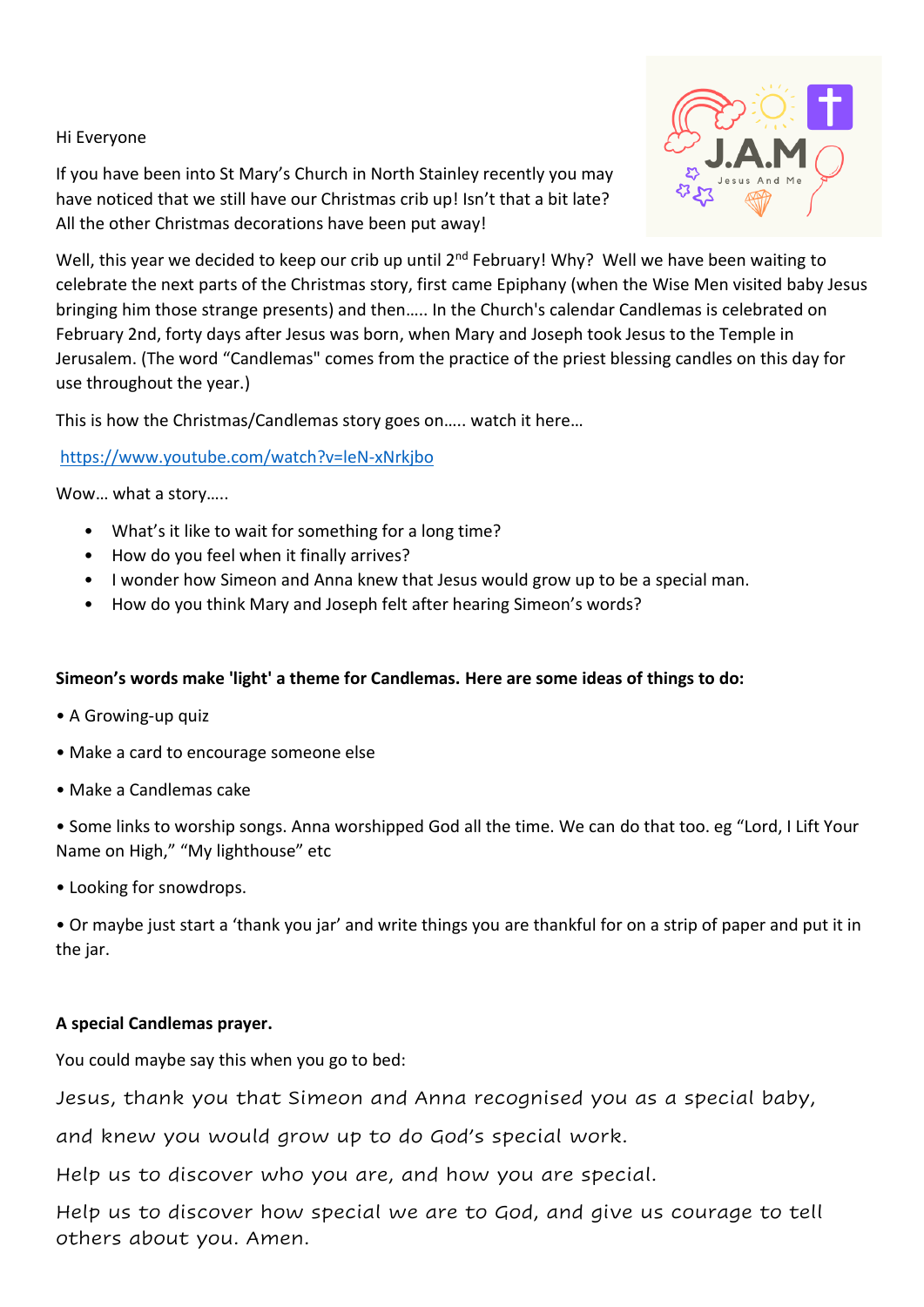# Hi Everyone

If you have been into St Mary's Church in North Stainley recently you may have noticed that we still have our Christmas crib up! Isn't that a bit late? All the other Christmas decorations have been put away!



Well, this year we decided to keep our crib up until 2<sup>nd</sup> February! Why? Well we have been waiting to celebrate the next parts of the Christmas story, first came Epiphany (when the Wise Men visited baby Jesus bringing him those strange presents) and then….. In the Church's calendar Candlemas is celebrated on February 2nd, forty days after Jesus was born, when Mary and Joseph took Jesus to the Temple in Jerusalem. (The word "Candlemas" comes from the practice of the priest blessing candles on this day for use throughout the year.)

This is how the Christmas/Candlemas story goes on….. watch it here…

#### <https://www.youtube.com/watch?v=leN-xNrkjbo>

Wow… what a story…..

- What's it like to wait for something for a long time?
- How do you feel when it finally arrives?
- I wonder how Simeon and Anna knew that Jesus would grow up to be a special man.
- How do you think Mary and Joseph felt after hearing Simeon's words?

# **Simeon's words make 'light' a theme for Candlemas. Here are some ideas of things to do:**

- A Growing-up quiz
- Make a card to encourage someone else
- Make a Candlemas cake

• Some links to worship songs. Anna worshipped God all the time. We can do that too. eg "Lord, I Lift Your Name on High," "My lighthouse" etc

• Looking for snowdrops.

• Or maybe just start a 'thank you jar' and write things you are thankful for on a strip of paper and put it in the jar.

# **A special Candlemas prayer.**

You could maybe say this when you go to bed:

Jesus, thank you that Simeon and Anna recognised you as a special baby,

and knew you would grow up to do God's special work.

Help us to discover who you are, and how you are special.

Help us to discover how special we are to God, and give us courage to tell others about you. Amen.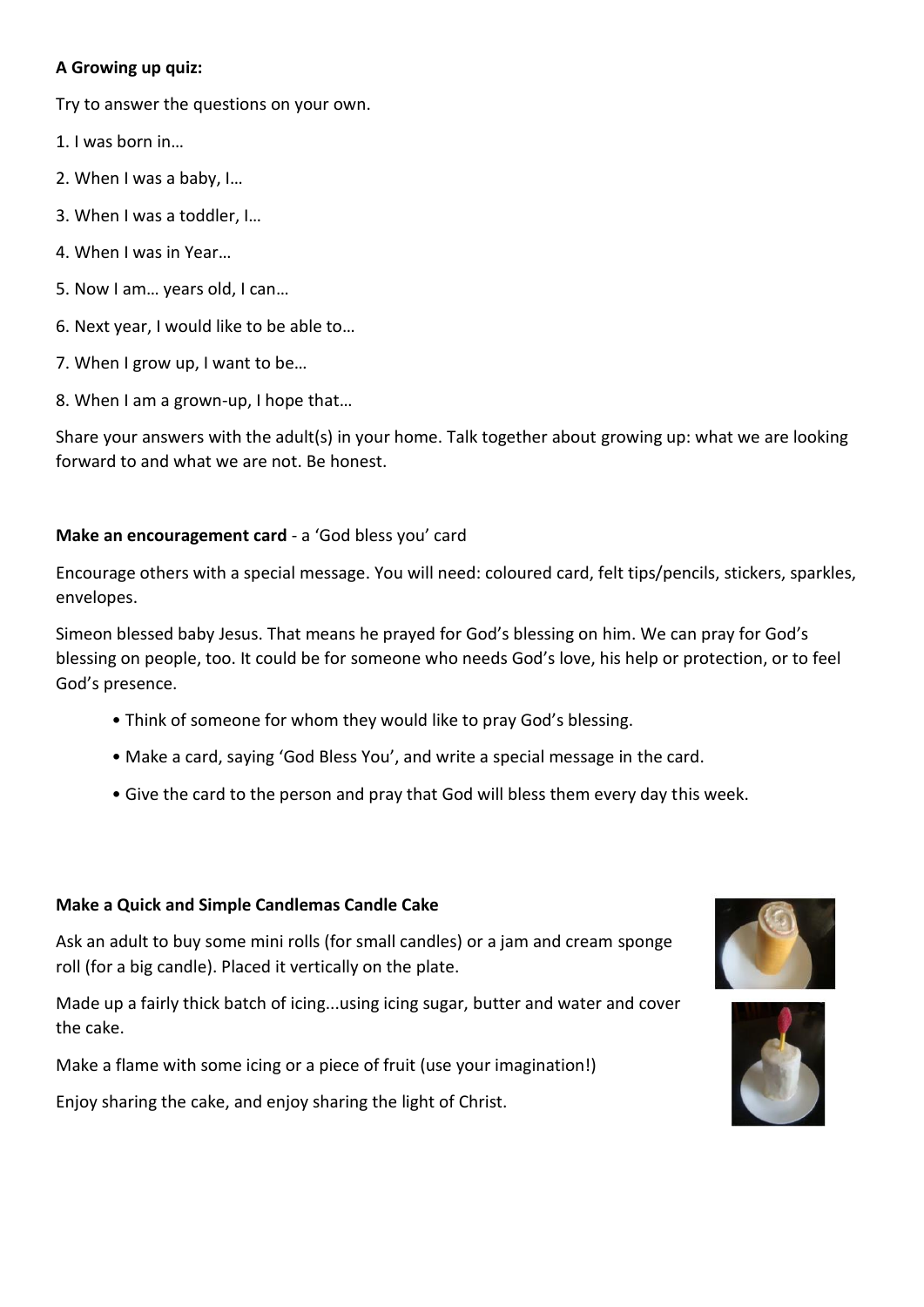# **A Growing up quiz:**

Try to answer the questions on your own.

- 1. I was born in…
- 2. When I was a baby, I…
- 3. When I was a toddler, I…
- 4. When I was in Year…
- 5. Now I am… years old, I can…
- 6. Next year, I would like to be able to…
- 7. When I grow up, I want to be…
- 8. When I am a grown-up, I hope that…

Share your answers with the adult(s) in your home. Talk together about growing up: what we are looking forward to and what we are not. Be honest.

# **Make an encouragement card** - a 'God bless you' card

Encourage others with a special message. You will need: coloured card, felt tips/pencils, stickers, sparkles, envelopes.

Simeon blessed baby Jesus. That means he prayed for God's blessing on him. We can pray for God's blessing on people, too. It could be for someone who needs God's love, his help or protection, or to feel God's presence.

- Think of someone for whom they would like to pray God's blessing.
- Make a card, saying 'God Bless You', and write a special message in the card.
- Give the card to the person and pray that God will bless them every day this week.

#### **Make a Quick and Simple Candlemas Candle Cake**

Ask an adult to buy some mini rolls (for small candles) or a jam and cream sponge roll (for a big candle). Placed it vertically on the plate.

Made up a fairly thick batch of icing...using icing sugar, butter and water and cover the cake.

Make a flame with some icing or a piece of fruit (use your imagination!)

Enjoy sharing the cake, and enjoy sharing the light of Christ.